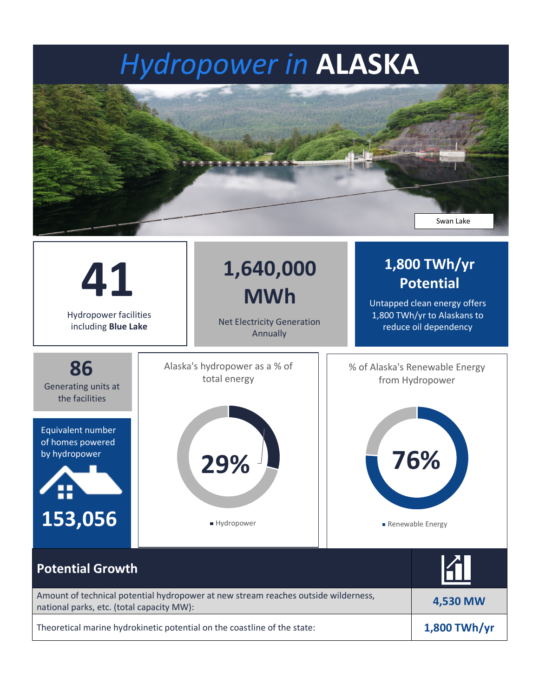## *Hydropower in* **ALASKA**